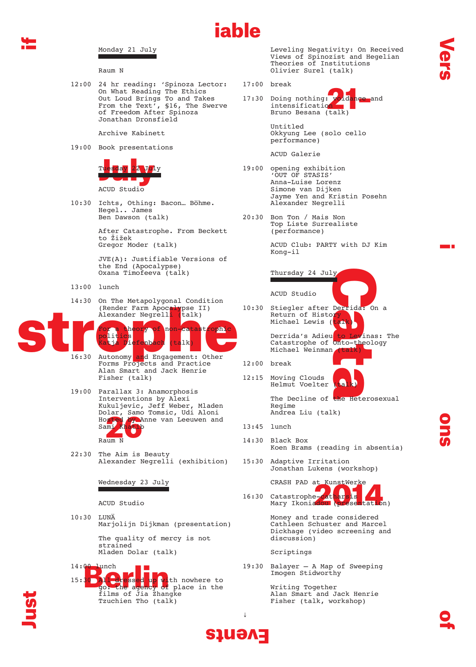

## Monday 21 July

Raum N

12:00 24 hr reading: 'Spinoza Lector: On What Reading The Ethics Out Loud Brings To and Takes From the Text', §16, The Swerve of Freedom After Spinoza Jonathan Dronsfield

Archive Kabinett

19:00 Book presentations



10:30 Ichts, Othing: Bacon… Böhme. Hegel.. James Ben Dawson (talk)

> After Catastrophe. From Beckett to Žižek Gregor Moder (talk)

 JVE(A): Justifiable Versions of the End (Apocalypse) Oxana Timofeeva (talk)

- 13:00 lunch
- 14:30 On The Metapolygonal Condition (Render Farm Apocalypse II)<br>Alexander Negrelli (talk) Alexander Negrell



- Forms Projects and Practice Alan Smart and Jack Henrie Fisher (talk)
- Hosted by Y<br>Sami Khatik<br>Raum N 19:00 Parallax 3: Anamorphosis Interventions by Alexi Kukuljevic, Jeff Weber, Mladen Dolar, Samo Tomsic, Udi Aloni Hosted by Anne van Leeuwen and  $Sami$
- 22:30 The Aim is Beauty Alexander Negrelli (exhibition)

Wednesday 23 July

ACUD Studio

10:30 LUNÄ Marjolijn Dijkman (presentation)

> The quality of mercy is not strained Mladen Dolar (talk)



 Leveling Negativity: On Received Views of Spinozist and Hegelian Theories of Institutions Olivier Surel (talk)

17:00 break

iable

oidance and 17:30 Doing nothing:  $\nu$ intensification Bruno Besana (talk)

> Untitled Okkyung Lee (solo cello performance)

ACUD Galerie

- 19:00 opening exhibition 'OUT OF STASIS' Anna-Luise Lorenz Simone van Dijken Jayme Yen and Kristin Posehn Alexander Negrelli
- 20:30 Bon Ton / Mais Non Top Liste Surrealiste (performance)

 ACUD Club: PARTY with DJ Kim Kong-il

Thursday 24 July

ACUD Studio

Derrida: Or<br>Prida: Orinas<br>Onto-theolo<br>(talk)<br>Calicians 10:30 Stiegler after Derrida: On a Return of Histor Michael Lewis (

Derrida's Adieu to Levinas: The Catastrophe of Onto-theology Michael Weinman

- 12:00 break
- 12:15 Moving Clouds Helmut Voelter

The Decline of the Heterosexual Regime Andrea Liu (talk)

- 13:45 lunch
- 14:30 Black Box Koen Brams (reading in absentia)
- 15:30 Adaptive Irritation Jonathan Lukens (workshop)

CRASH PAD at KunstWerke

EXASH PAD at Nunsiwerke<br>16:30 Catastrophe-Catharsis<br>Mary Ikoniadou (presentation) 16:30 Catastrophe-cathar

> Money and trade considered Cathleen Schuster and Marcel Dickhage (video screening and discussion)

Scriptings

19:30 Balayer — A Map of Sweeping Imogen Stidworthy

> Writing Together Alan Smart and Jack Henrie Fisher (talk, workshop)

↓